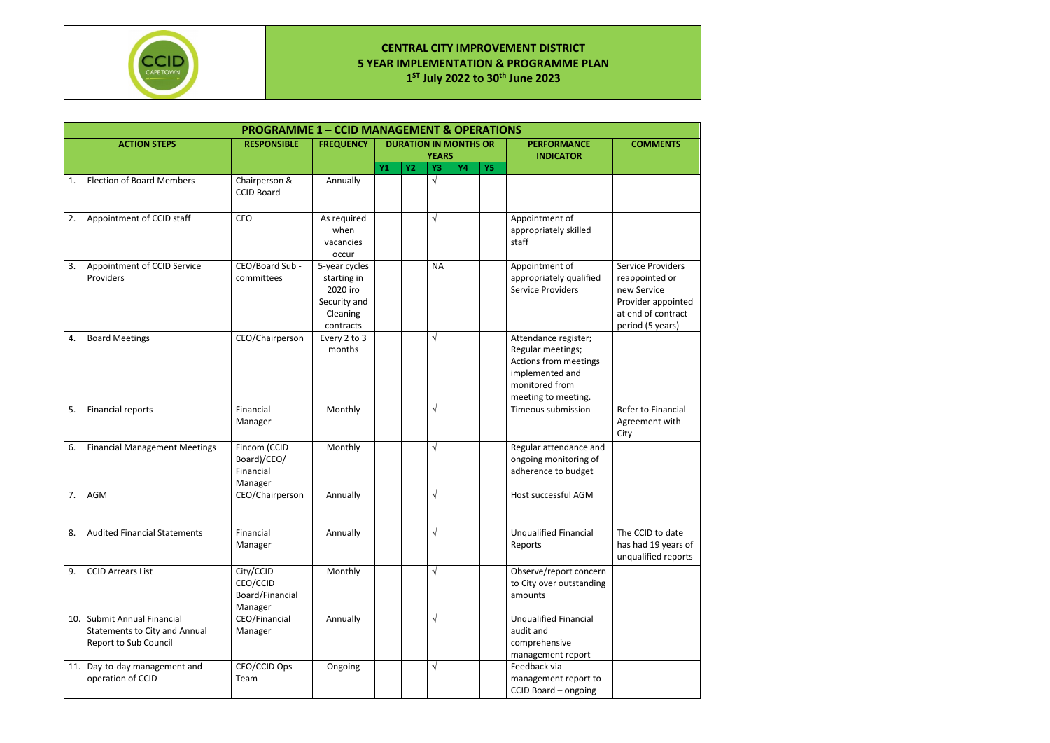

## **CENTRAL CITY IMPROVEMENT DISTRICT 5 YEAR IMPLEMENTATION & PROGRAMME PLAN 1 ST July 2022 to 30th June 2023**

|    | <b>PROGRAMME 1 - CCID MANAGEMENT &amp; OPERATIONS</b>                                 |                                                     |                                                                                   |    |                              |              |           |           |                                                                                                                                |                                                                                                                           |  |  |  |
|----|---------------------------------------------------------------------------------------|-----------------------------------------------------|-----------------------------------------------------------------------------------|----|------------------------------|--------------|-----------|-----------|--------------------------------------------------------------------------------------------------------------------------------|---------------------------------------------------------------------------------------------------------------------------|--|--|--|
|    | <b>ACTION STEPS</b>                                                                   | <b>RESPONSIBLE</b>                                  | <b>FREQUENCY</b>                                                                  |    | <b>DURATION IN MONTHS OR</b> | <b>YEARS</b> |           |           | <b>PERFORMANCE</b><br><b>INDICATOR</b>                                                                                         | <b>COMMENTS</b>                                                                                                           |  |  |  |
|    |                                                                                       |                                                     |                                                                                   | Y1 | <b>Y2</b>                    | Y3           | <b>Y4</b> | <b>Y5</b> |                                                                                                                                |                                                                                                                           |  |  |  |
| 1. | <b>Election of Board Members</b>                                                      | Chairperson &<br><b>CCID Board</b>                  | Annually                                                                          |    |                              | $\sqrt{ }$   |           |           |                                                                                                                                |                                                                                                                           |  |  |  |
| 2. | Appointment of CCID staff                                                             | CEO                                                 | As required<br>when<br>vacancies<br>occur                                         |    |                              | $\sqrt{ }$   |           |           | Appointment of<br>appropriately skilled<br>staff                                                                               |                                                                                                                           |  |  |  |
| 3. | Appointment of CCID Service<br>Providers                                              | CEO/Board Sub -<br>committees                       | 5-year cycles<br>starting in<br>2020 iro<br>Security and<br>Cleaning<br>contracts |    |                              | <b>NA</b>    |           |           | Appointment of<br>appropriately qualified<br>Service Providers                                                                 | <b>Service Providers</b><br>reappointed or<br>new Service<br>Provider appointed<br>at end of contract<br>period (5 years) |  |  |  |
| 4. | <b>Board Meetings</b>                                                                 | CEO/Chairperson                                     | Every 2 to 3<br>months                                                            |    |                              | $\sqrt{ }$   |           |           | Attendance register;<br>Regular meetings;<br>Actions from meetings<br>implemented and<br>monitored from<br>meeting to meeting. |                                                                                                                           |  |  |  |
| 5. | Financial reports                                                                     | Financial<br>Manager                                | Monthly                                                                           |    |                              | $\sqrt{}$    |           |           | Timeous submission                                                                                                             | Refer to Financial<br>Agreement with<br>City                                                                              |  |  |  |
| 6. | <b>Financial Management Meetings</b>                                                  | Fincom (CCID<br>Board)/CEO/<br>Financial<br>Manager | Monthly                                                                           |    |                              | $\sqrt{}$    |           |           | Regular attendance and<br>ongoing monitoring of<br>adherence to budget                                                         |                                                                                                                           |  |  |  |
| 7. | AGM                                                                                   | CEO/Chairperson                                     | Annually                                                                          |    |                              | $\sqrt{}$    |           |           | Host successful AGM                                                                                                            |                                                                                                                           |  |  |  |
| 8. | <b>Audited Financial Statements</b>                                                   | Financial<br>Manager                                | Annually                                                                          |    |                              | $\sqrt{ }$   |           |           | <b>Unqualified Financial</b><br>Reports                                                                                        | The CCID to date<br>has had 19 years of<br>unqualified reports                                                            |  |  |  |
| 9. | <b>CCID Arrears List</b>                                                              | City/CCID<br>CEO/CCID<br>Board/Financial<br>Manager | Monthly                                                                           |    |                              | $\sqrt{ }$   |           |           | Observe/report concern<br>to City over outstanding<br>amounts                                                                  |                                                                                                                           |  |  |  |
|    | 10. Submit Annual Financial<br>Statements to City and Annual<br>Report to Sub Council | CEO/Financial<br>Manager                            | Annually                                                                          |    |                              | $\sqrt{ }$   |           |           | <b>Unqualified Financial</b><br>audit and<br>comprehensive<br>management report                                                |                                                                                                                           |  |  |  |
|    | 11. Day-to-day management and<br>operation of CCID                                    | CEO/CCID Ops<br>Team                                | Ongoing                                                                           |    |                              | $\sqrt{ }$   |           |           | Feedback via<br>management report to<br>CCID Board - ongoing                                                                   |                                                                                                                           |  |  |  |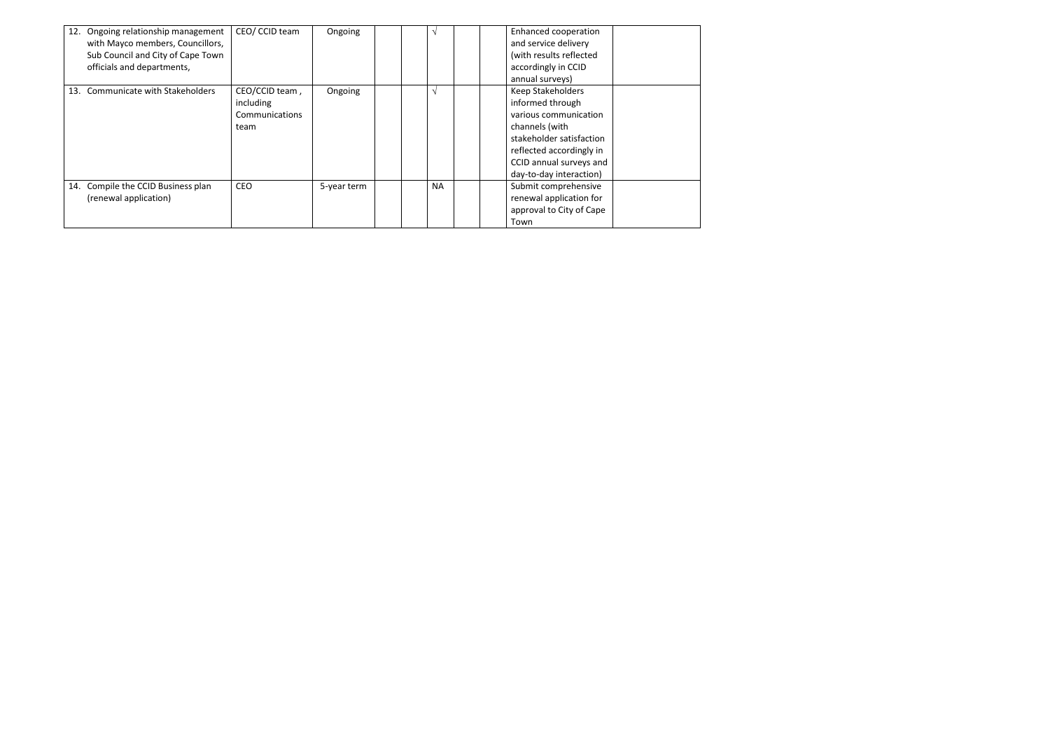| 12. Ongoing relationship management<br>with Mayco members, Councillors,<br>Sub Council and City of Cape Town<br>officials and departments, | CEO/ CCID team                                        | Ongoing     |  |           | Enhanced cooperation<br>and service delivery<br>(with results reflected<br>accordingly in CCID<br>annual surveys)                                                                                     |
|--------------------------------------------------------------------------------------------------------------------------------------------|-------------------------------------------------------|-------------|--|-----------|-------------------------------------------------------------------------------------------------------------------------------------------------------------------------------------------------------|
| 13. Communicate with Stakeholders                                                                                                          | CEO/CCID team,<br>including<br>Communications<br>team | Ongoing     |  | V         | <b>Keep Stakeholders</b><br>informed through<br>various communication<br>channels (with<br>stakeholder satisfaction<br>reflected accordingly in<br>CCID annual surveys and<br>day-to-day interaction) |
| 14. Compile the CCID Business plan<br>(renewal application)                                                                                | <b>CEO</b>                                            | 5-year term |  | <b>NA</b> | Submit comprehensive<br>renewal application for<br>approval to City of Cape<br>Town                                                                                                                   |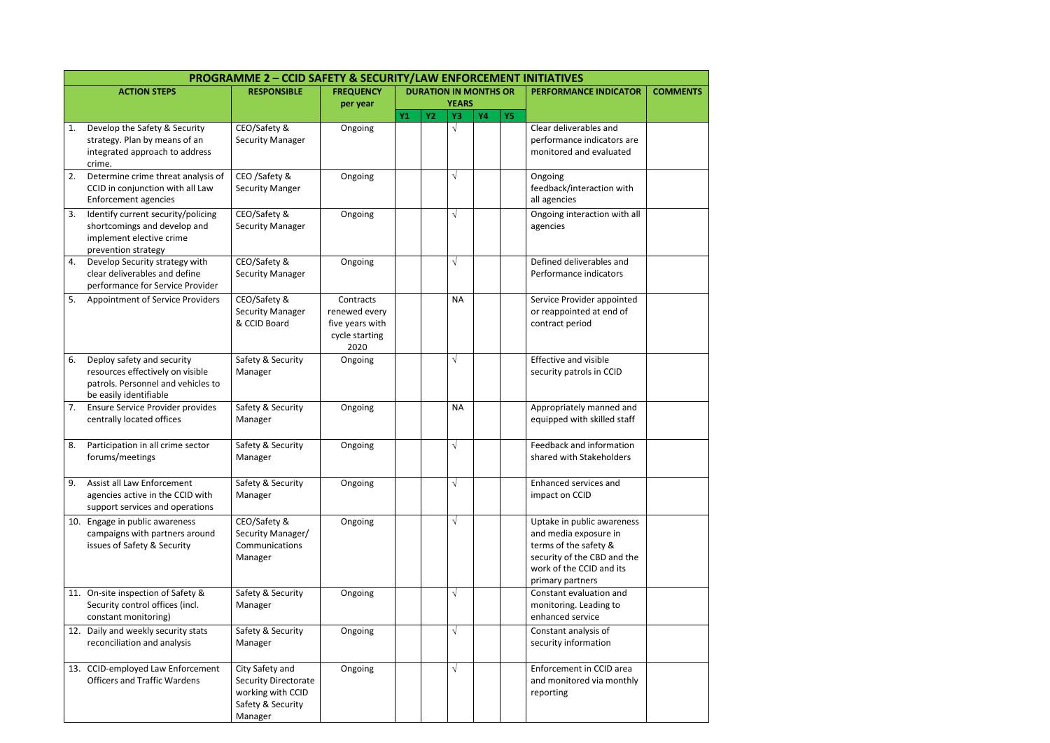|     |                                                                                                                                | <b>PROGRAMME 2 - CCID SAFETY &amp; SECURITY/LAW ENFORCEMENT INITIATIVES</b>                         |                                                                         |    |           |                    |                              |           |                                                                                                                                                             |                 |
|-----|--------------------------------------------------------------------------------------------------------------------------------|-----------------------------------------------------------------------------------------------------|-------------------------------------------------------------------------|----|-----------|--------------------|------------------------------|-----------|-------------------------------------------------------------------------------------------------------------------------------------------------------------|-----------------|
|     | <b>ACTION STEPS</b>                                                                                                            | <b>RESPONSIBLE</b>                                                                                  | <b>FREQUENCY</b>                                                        |    |           |                    | <b>DURATION IN MONTHS OR</b> |           | <b>PERFORMANCE INDICATOR</b>                                                                                                                                | <b>COMMENTS</b> |
|     |                                                                                                                                |                                                                                                     | per year                                                                | Y1 | <b>Y2</b> | <b>YEARS</b><br>Y3 | <b>Y4</b>                    | <b>Y5</b> |                                                                                                                                                             |                 |
| 1.  | Develop the Safety & Security<br>strategy. Plan by means of an<br>integrated approach to address<br>crime.                     | CEO/Safety &<br><b>Security Manager</b>                                                             | Ongoing                                                                 |    |           | $\sqrt{}$          |                              |           | Clear deliverables and<br>performance indicators are<br>monitored and evaluated                                                                             |                 |
| 2.  | Determine crime threat analysis of<br>CCID in conjunction with all Law<br>Enforcement agencies                                 | CEO /Safety &<br><b>Security Manger</b>                                                             | Ongoing                                                                 |    |           | $\sqrt{}$          |                              |           | Ongoing<br>feedback/interaction with<br>all agencies                                                                                                        |                 |
| 3.  | Identify current security/policing<br>shortcomings and develop and<br>implement elective crime<br>prevention strategy          | CEO/Safety &<br><b>Security Manager</b>                                                             | Ongoing                                                                 |    |           | $\sqrt{}$          |                              |           | Ongoing interaction with all<br>agencies                                                                                                                    |                 |
| 4.  | Develop Security strategy with<br>clear deliverables and define<br>performance for Service Provider                            | CEO/Safety &<br><b>Security Manager</b>                                                             | Ongoing                                                                 |    |           | $\sqrt{}$          |                              |           | Defined deliverables and<br>Performance indicators                                                                                                          |                 |
| 5.  | <b>Appointment of Service Providers</b>                                                                                        | CEO/Safety &<br><b>Security Manager</b><br>& CCID Board                                             | Contracts<br>renewed every<br>five years with<br>cycle starting<br>2020 |    |           | <b>NA</b>          |                              |           | Service Provider appointed<br>or reappointed at end of<br>contract period                                                                                   |                 |
| 6.  | Deploy safety and security<br>resources effectively on visible<br>patrols. Personnel and vehicles to<br>be easily identifiable | Safety & Security<br>Manager                                                                        | Ongoing                                                                 |    |           | $\sqrt{}$          |                              |           | <b>Effective and visible</b><br>security patrols in CCID                                                                                                    |                 |
| 7.  | Ensure Service Provider provides<br>centrally located offices                                                                  | Safety & Security<br>Manager                                                                        | Ongoing                                                                 |    |           | <b>NA</b>          |                              |           | Appropriately manned and<br>equipped with skilled staff                                                                                                     |                 |
| 8.  | Participation in all crime sector<br>forums/meetings                                                                           | Safety & Security<br>Manager                                                                        | Ongoing                                                                 |    |           | $\sqrt{}$          |                              |           | Feedback and information<br>shared with Stakeholders                                                                                                        |                 |
| 9.  | <b>Assist all Law Enforcement</b><br>agencies active in the CCID with<br>support services and operations                       | Safety & Security<br>Manager                                                                        | Ongoing                                                                 |    |           | $\sqrt{}$          |                              |           | Enhanced services and<br>impact on CCID                                                                                                                     |                 |
| 10. | Engage in public awareness<br>campaigns with partners around<br>issues of Safety & Security                                    | CEO/Safety &<br>Security Manager/<br>Communications<br>Manager                                      | Ongoing                                                                 |    |           | $\sqrt{}$          |                              |           | Uptake in public awareness<br>and media exposure in<br>terms of the safety &<br>security of the CBD and the<br>work of the CCID and its<br>primary partners |                 |
|     | 11. On-site inspection of Safety &<br>Security control offices (incl.<br>constant monitoring)                                  | Safety & Security<br>Manager                                                                        | Ongoing                                                                 |    |           | $\sqrt{}$          |                              |           | Constant evaluation and<br>monitoring. Leading to<br>enhanced service                                                                                       |                 |
|     | 12. Daily and weekly security stats<br>reconciliation and analysis                                                             | Safety & Security<br>Manager                                                                        | Ongoing                                                                 |    |           | $\sqrt{}$          |                              |           | Constant analysis of<br>security information                                                                                                                |                 |
|     | 13. CCID-employed Law Enforcement<br><b>Officers and Traffic Wardens</b>                                                       | City Safety and<br><b>Security Directorate</b><br>working with CCID<br>Safety & Security<br>Manager | Ongoing                                                                 |    |           | $\sqrt{}$          |                              |           | Enforcement in CCID area<br>and monitored via monthly<br>reporting                                                                                          |                 |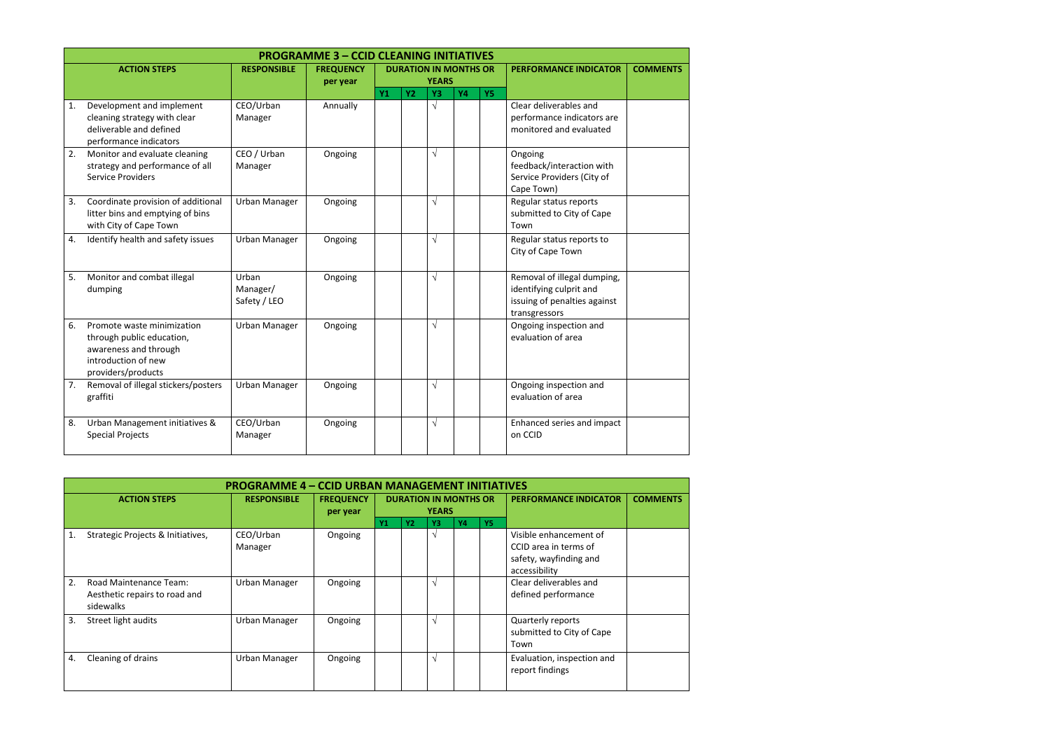|    |                                                                                                                               |                                   | <b>PROGRAMME 3 - CCID CLEANING INITIATIVES</b> |                |           |                              |           |           |                                                                                                         |                 |
|----|-------------------------------------------------------------------------------------------------------------------------------|-----------------------------------|------------------------------------------------|----------------|-----------|------------------------------|-----------|-----------|---------------------------------------------------------------------------------------------------------|-----------------|
|    | <b>ACTION STEPS</b>                                                                                                           | <b>RESPONSIBLE</b>                | <b>FREQUENCY</b>                               |                |           | <b>DURATION IN MONTHS OR</b> |           |           | <b>PERFORMANCE INDICATOR</b>                                                                            | <b>COMMENTS</b> |
|    |                                                                                                                               |                                   | per year                                       |                |           | <b>YEARS</b>                 |           |           |                                                                                                         |                 |
|    |                                                                                                                               |                                   |                                                | Y <sub>1</sub> | <b>Y2</b> | Y3                           | <b>Y4</b> | <b>Y5</b> |                                                                                                         |                 |
| 1. | Development and implement<br>cleaning strategy with clear<br>deliverable and defined<br>performance indicators                | CEO/Urban<br>Manager              | Annually                                       |                |           | $\sqrt{ }$                   |           |           | Clear deliverables and<br>performance indicators are<br>monitored and evaluated                         |                 |
| 2. | Monitor and evaluate cleaning<br>strategy and performance of all<br><b>Service Providers</b>                                  | CEO / Urban<br>Manager            | Ongoing                                        |                |           | $\sqrt{ }$                   |           |           | Ongoing<br>feedback/interaction with<br>Service Providers (City of<br>Cape Town)                        |                 |
| 3. | Coordinate provision of additional<br>litter bins and emptying of bins<br>with City of Cape Town                              | Urban Manager                     | Ongoing                                        |                |           | $\sqrt{}$                    |           |           | Regular status reports<br>submitted to City of Cape<br>Town                                             |                 |
| 4. | Identify health and safety issues                                                                                             | Urban Manager                     | Ongoing                                        |                |           | $\sqrt{}$                    |           |           | Regular status reports to<br>City of Cape Town                                                          |                 |
| 5. | Monitor and combat illegal<br>dumping                                                                                         | Urban<br>Manager/<br>Safety / LEO | Ongoing                                        |                |           | $\sqrt{}$                    |           |           | Removal of illegal dumping,<br>identifying culprit and<br>issuing of penalties against<br>transgressors |                 |
| 6. | Promote waste minimization<br>through public education,<br>awareness and through<br>introduction of new<br>providers/products | Urban Manager                     | Ongoing                                        |                |           | $\sqrt{}$                    |           |           | Ongoing inspection and<br>evaluation of area                                                            |                 |
| 7. | Removal of illegal stickers/posters<br>graffiti                                                                               | Urban Manager                     | Ongoing                                        |                |           | $\sqrt{}$                    |           |           | Ongoing inspection and<br>evaluation of area                                                            |                 |
| 8. | Urban Management initiatives &<br><b>Special Projects</b>                                                                     | CEO/Urban<br>Manager              | Ongoing                                        |                |           | $\sqrt{}$                    |           |           | Enhanced series and impact<br>on CCID                                                                   |                 |

|    | <b>PROGRAMME 4 - CCID URBAN MANAGEMENT INITIATIVES</b>               |                      |                              |           |                                              |            |    |           |                                                                                            |                 |  |
|----|----------------------------------------------------------------------|----------------------|------------------------------|-----------|----------------------------------------------|------------|----|-----------|--------------------------------------------------------------------------------------------|-----------------|--|
|    | <b>ACTION STEPS</b>                                                  | <b>RESPONSIBLE</b>   | <b>FREQUENCY</b><br>per year |           | <b>DURATION IN MONTHS OR</b><br><b>YEARS</b> |            |    |           | <b>PERFORMANCE INDICATOR</b>                                                               | <b>COMMENTS</b> |  |
|    |                                                                      |                      |                              | <b>Y1</b> | <b>Y2</b>                                    | <b>Y3</b>  | Y4 | <b>Y5</b> |                                                                                            |                 |  |
|    | Strategic Projects & Initiatives,                                    | CEO/Urban<br>Manager | Ongoing                      |           |                                              | $\sqrt{ }$ |    |           | Visible enhancement of<br>CCID area in terms of<br>safety, wayfinding and<br>accessibility |                 |  |
| 2. | Road Maintenance Team:<br>Aesthetic repairs to road and<br>sidewalks | Urban Manager        | Ongoing                      |           |                                              | $\sqrt{ }$ |    |           | Clear deliverables and<br>defined performance                                              |                 |  |
| 3. | Street light audits                                                  | Urban Manager        | Ongoing                      |           |                                              | اد         |    |           | Quarterly reports<br>submitted to City of Cape<br>Town                                     |                 |  |
| 4. | Cleaning of drains                                                   | Urban Manager        | Ongoing                      |           |                                              | $\sqrt{ }$ |    |           | Evaluation, inspection and<br>report findings                                              |                 |  |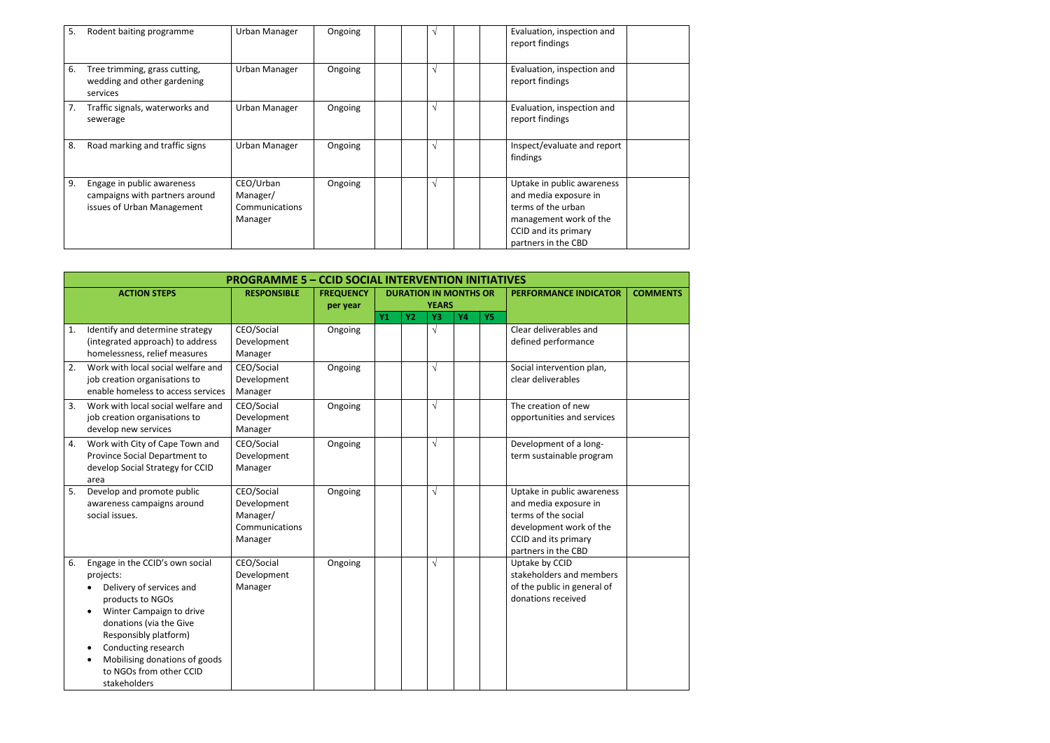| 5. | Rodent baiting programme                                                                   | Urban Manager                                      | Ongoing | $\sqrt{ }$ | Evaluation, inspection and<br>report findings                                                                                                      |  |
|----|--------------------------------------------------------------------------------------------|----------------------------------------------------|---------|------------|----------------------------------------------------------------------------------------------------------------------------------------------------|--|
| 6. | Tree trimming, grass cutting,<br>wedding and other gardening<br>services                   | Urban Manager                                      | Ongoing | $\sqrt{ }$ | Evaluation, inspection and<br>report findings                                                                                                      |  |
| 7. | Traffic signals, waterworks and<br>sewerage                                                | Urban Manager                                      | Ongoing | $\sqrt{ }$ | Evaluation, inspection and<br>report findings                                                                                                      |  |
| 8. | Road marking and traffic signs                                                             | Urban Manager                                      | Ongoing | $\sqrt{ }$ | Inspect/evaluate and report<br>findings                                                                                                            |  |
| 9. | Engage in public awareness<br>campaigns with partners around<br>issues of Urban Management | CEO/Urban<br>Manager/<br>Communications<br>Manager | Ongoing | $\sqrt{ }$ | Uptake in public awareness<br>and media exposure in<br>terms of the urban<br>management work of the<br>CCID and its primary<br>partners in the CBD |  |

|    | <b>PROGRAMME 5 - CCID SOCIAL INTERVENTION INITIATIVES</b>                                                                                                                                                                                                                       |                                                                    |                  |  |                                                                 |                              |  |  |                                                                                                                                                      |                 |
|----|---------------------------------------------------------------------------------------------------------------------------------------------------------------------------------------------------------------------------------------------------------------------------------|--------------------------------------------------------------------|------------------|--|-----------------------------------------------------------------|------------------------------|--|--|------------------------------------------------------------------------------------------------------------------------------------------------------|-----------------|
|    | <b>ACTION STEPS</b>                                                                                                                                                                                                                                                             | <b>RESPONSIBLE</b>                                                 | <b>FREQUENCY</b> |  |                                                                 | <b>DURATION IN MONTHS OR</b> |  |  | <b>PERFORMANCE INDICATOR</b>                                                                                                                         | <b>COMMENTS</b> |
|    |                                                                                                                                                                                                                                                                                 |                                                                    | per year         |  | <b>YEARS</b><br>Y1<br><b>Y2</b><br><b>Y4</b><br>Y3<br><b>Y5</b> |                              |  |  |                                                                                                                                                      |                 |
| 1. | Identify and determine strategy<br>(integrated approach) to address<br>homelessness, relief measures                                                                                                                                                                            | CEO/Social<br>Development<br>Manager                               | Ongoing          |  |                                                                 | $\sqrt{}$                    |  |  | Clear deliverables and<br>defined performance                                                                                                        |                 |
| 2. | Work with local social welfare and<br>job creation organisations to<br>enable homeless to access services                                                                                                                                                                       | CEO/Social<br>Development<br>Manager                               | Ongoing          |  |                                                                 | $\sqrt{}$                    |  |  | Social intervention plan,<br>clear deliverables                                                                                                      |                 |
| 3. | Work with local social welfare and<br>job creation organisations to<br>develop new services                                                                                                                                                                                     | CEO/Social<br>Development<br>Manager                               | Ongoing          |  |                                                                 | $\sqrt{}$                    |  |  | The creation of new<br>opportunities and services                                                                                                    |                 |
| 4. | Work with City of Cape Town and<br>Province Social Department to<br>develop Social Strategy for CCID<br>area                                                                                                                                                                    | CEO/Social<br>Development<br>Manager                               | Ongoing          |  |                                                                 | $\sqrt{}$                    |  |  | Development of a long-<br>term sustainable program                                                                                                   |                 |
| 5. | Develop and promote public<br>awareness campaigns around<br>social issues.                                                                                                                                                                                                      | CEO/Social<br>Development<br>Manager/<br>Communications<br>Manager | Ongoing          |  |                                                                 | $\sqrt{}$                    |  |  | Uptake in public awareness<br>and media exposure in<br>terms of the social<br>development work of the<br>CCID and its primary<br>partners in the CBD |                 |
| 6. | Engage in the CCID's own social<br>projects:<br>Delivery of services and<br>products to NGOs<br>Winter Campaign to drive<br>donations (via the Give<br>Responsibly platform)<br>Conducting research<br>Mobilising donations of goods<br>to NGOs from other CCID<br>stakeholders | CEO/Social<br>Development<br>Manager                               | Ongoing          |  |                                                                 | $\sqrt{}$                    |  |  | Uptake by CCID<br>stakeholders and members<br>of the public in general of<br>donations received                                                      |                 |